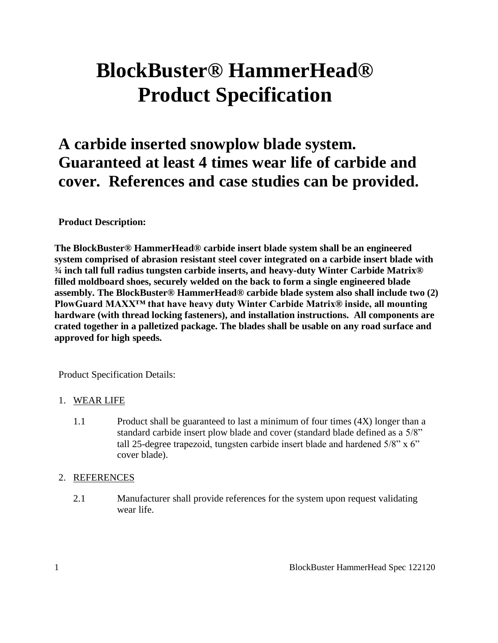# **BlockBuster® HammerHead® Product Specification**

# **A carbide inserted snowplow blade system. Guaranteed at least 4 times wear life of carbide and cover. References and case studies can be provided.**

# **Product Description:**

**The BlockBuster® HammerHead® carbide insert blade system shall be an engineered system comprised of abrasion resistant steel cover integrated on a carbide insert blade with ¾ inch tall full radius tungsten carbide inserts, and heavy-duty Winter Carbide Matrix® filled moldboard shoes, securely welded on the back to form a single engineered blade assembly. The BlockBuster® HammerHead® carbide blade system also shall include two (2) PlowGuard MAXX™ that have heavy duty Winter Carbide Matrix® inside, all mounting hardware (with thread locking fasteners), and installation instructions. All components are crated together in a palletized package. The blades shall be usable on any road surface and approved for high speeds.**

Product Specification Details:

#### 1. WEAR LIFE

1.1 Product shall be guaranteed to last a minimum of four times (4X) longer than a standard carbide insert plow blade and cover (standard blade defined as a 5/8" tall 25-degree trapezoid, tungsten carbide insert blade and hardened 5/8" x 6" cover blade).

#### 2. REFERENCES

2.1 Manufacturer shall provide references for the system upon request validating wear life.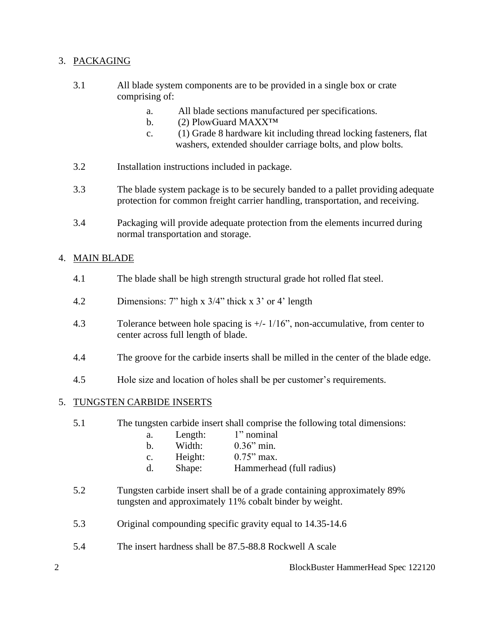# 3. PACKAGING

- 3.1 All blade system components are to be provided in a single box or crate comprising of:
	- a. All blade sections manufactured per specifications.
	- b. (2) PlowGuard MAXX<sup>TM</sup>
	- c. (1) Grade 8 hardware kit including thread locking fasteners, flat washers, extended shoulder carriage bolts, and plow bolts.
- 3.2 Installation instructions included in package.
- 3.3 The blade system package is to be securely banded to a pallet providing adequate protection for common freight carrier handling, transportation, and receiving.
- 3.4 Packaging will provide adequate protection from the elements incurred during normal transportation and storage.

# 4. MAIN BLADE

- 4.1 The blade shall be high strength structural grade hot rolled flat steel.
- 4.2 Dimensions: 7" high x 3/4" thick x 3' or 4' length
- 4.3 Tolerance between hole spacing is +/- 1/16", non-accumulative, from center to center across full length of blade.
- 4.4 The groove for the carbide inserts shall be milled in the center of the blade edge.
- 4.5 Hole size and location of holes shall be per customer's requirements.

#### 5. TUNGSTEN CARBIDE INSERTS

- 5.1 The tungsten carbide insert shall comprise the following total dimensions:
	- a. Length: 1" nominal
	- b. Width: 0.36" min.
	- c. Height:  $0.75$ " max.
	- d. Shape: Hammerhead (full radius)
- 5.2 Tungsten carbide insert shall be of a grade containing approximately 89% tungsten and approximately 11% cobalt binder by weight.
- 5.3 Original compounding specific gravity equal to 14.35-14.6
- 5.4 The insert hardness shall be 87.5-88.8 Rockwell A scale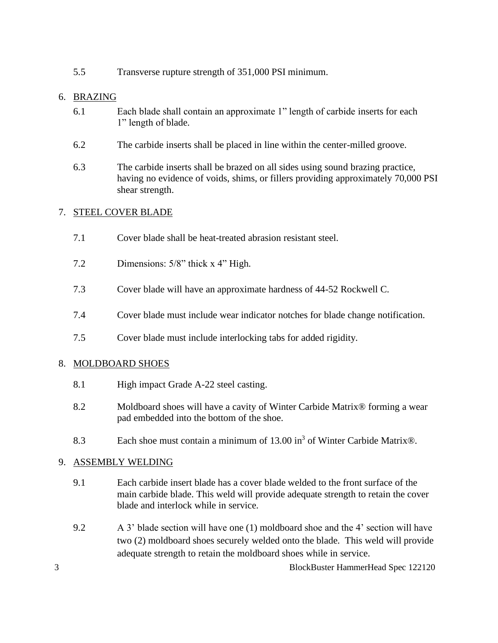5.5 Transverse rupture strength of 351,000 PSI minimum.

# 6. BRAZING

- 6.1 Each blade shall contain an approximate 1" length of carbide inserts for each 1" length of blade.
- 6.2 The carbide inserts shall be placed in line within the center-milled groove.
- 6.3 The carbide inserts shall be brazed on all sides using sound brazing practice, having no evidence of voids, shims, or fillers providing approximately 70,000 PSI shear strength.

# 7. STEEL COVER BLADE

- 7.1 Cover blade shall be heat-treated abrasion resistant steel.
- 7.2 Dimensions: 5/8" thick x 4" High.
- 7.3 Cover blade will have an approximate hardness of 44-52 Rockwell C.
- 7.4 Cover blade must include wear indicator notches for blade change notification.
- 7.5 Cover blade must include interlocking tabs for added rigidity.

#### 8. MOLDBOARD SHOES

- 8.1 High impact Grade A-22 steel casting.
- 8.2 Moldboard shoes will have a cavity of Winter Carbide Matrix® forming a wear pad embedded into the bottom of the shoe.
- 8.3 Each shoe must contain a minimum of  $13.00 \text{ in}^3$  of Winter Carbide Matrix®.

# 9. ASSEMBLY WELDING

- 9.1 Each carbide insert blade has a cover blade welded to the front surface of the main carbide blade. This weld will provide adequate strength to retain the cover blade and interlock while in service.
- 9.2 A 3' blade section will have one (1) moldboard shoe and the 4' section will have two (2) moldboard shoes securely welded onto the blade. This weld will provide adequate strength to retain the moldboard shoes while in service.

3 BlockBuster HammerHead Spec 122120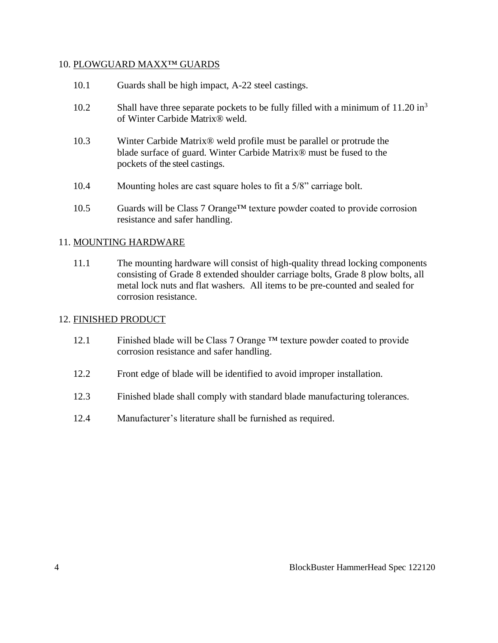#### 10. PLOWGUARD MAXX™ GUARDS

- 10.1 Guards shall be high impact, A-22 steel castings.
- 10.2 Shall have three separate pockets to be fully filled with a minimum of  $11.20 \text{ in}^3$ of Winter Carbide Matrix® weld.
- 10.3 Winter Carbide Matrix® weld profile must be parallel or protrude the blade surface of guard. Winter Carbide Matrix® must be fused to the pockets of the steel castings.
- 10.4 Mounting holes are cast square holes to fit a 5/8" carriage bolt.
- 10.5 Guards will be Class 7 Orange™ texture powder coated to provide corrosion resistance and safer handling.

#### 11. MOUNTING HARDWARE

11.1 The mounting hardware will consist of high-quality thread locking components consisting of Grade 8 extended shoulder carriage bolts, Grade 8 plow bolts, all metal lock nuts and flat washers. All items to be pre-counted and sealed for corrosion resistance.

#### 12. FINISHED PRODUCT

- 12.1 Finished blade will be Class 7 Orange ™ texture powder coated to provide corrosion resistance and safer handling.
- 12.2 Front edge of blade will be identified to avoid improper installation.
- 12.3 Finished blade shall comply with standard blade manufacturing tolerances.
- 12.4 Manufacturer's literature shall be furnished as required.